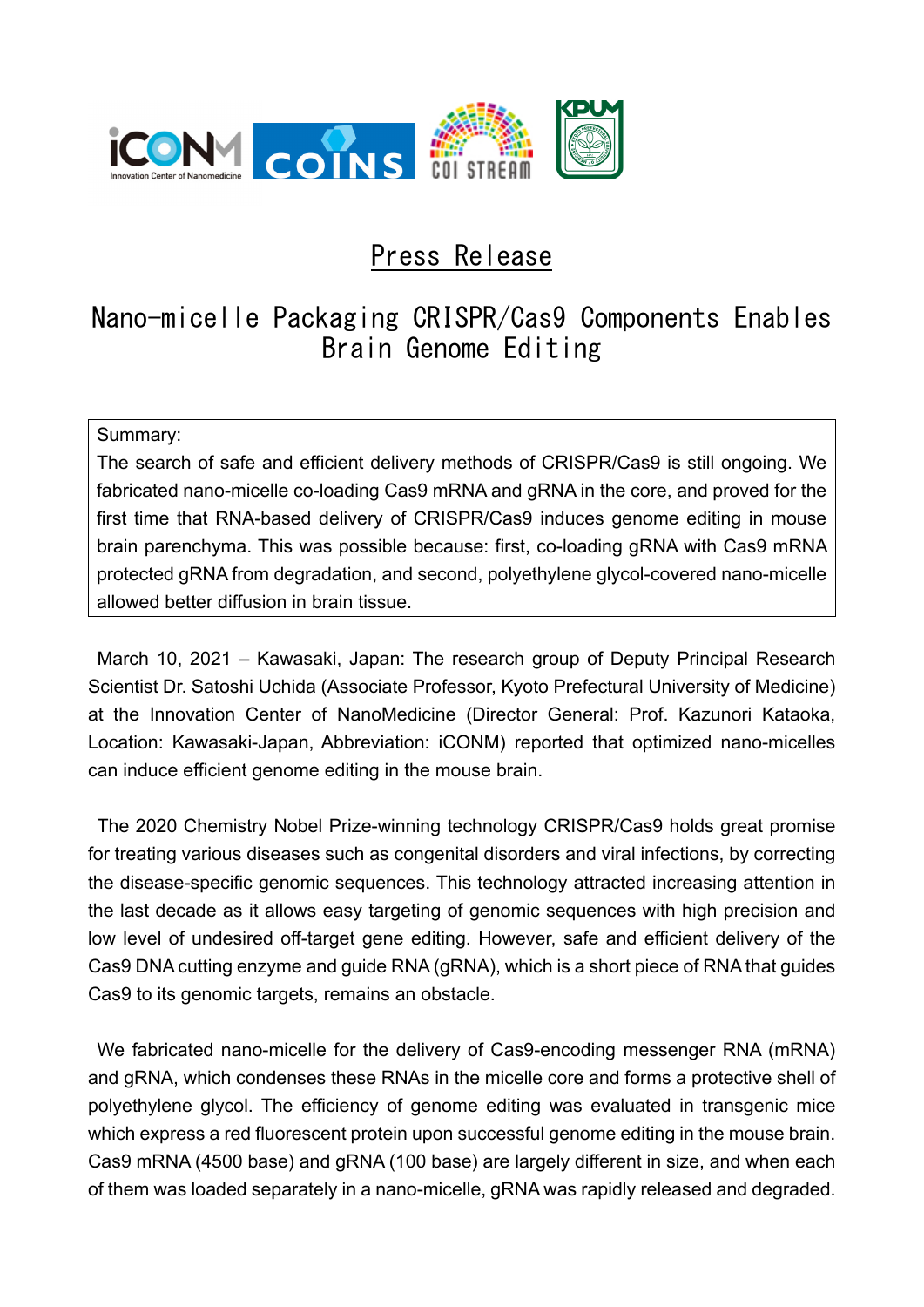

# Press Release

# Nano-micelle Packaging CRISPR/Cas9 Components Enables Brain Genome Editing

### Summary:

The search of safe and efficient delivery methods of CRISPR/Cas9 is still ongoing. We fabricated nano-micelle co-loading Cas9 mRNA and gRNA in the core, and proved for the first time that RNA-based delivery of CRISPR/Cas9 induces genome editing in mouse brain parenchyma. This was possible because: first, co-loading gRNA with Cas9 mRNA protected gRNA from degradation, and second, polyethylene glycol-covered nano-micelle allowed better diffusion in brain tissue.

March 10, 2021 – Kawasaki, Japan: The research group of Deputy Principal Research Scientist Dr. Satoshi Uchida (Associate Professor, Kyoto Prefectural University of Medicine) at the Innovation Center of NanoMedicine (Director General: Prof. Kazunori Kataoka, Location: Kawasaki-Japan, Abbreviation: iCONM) reported that optimized nano-micelles can induce efficient genome editing in the mouse brain.

The 2020 Chemistry Nobel Prize-winning technology CRISPR/Cas9 holds great promise for treating various diseases such as congenital disorders and viral infections, by correcting the disease-specific genomic sequences. This technology attracted increasing attention in the last decade as it allows easy targeting of genomic sequences with high precision and low level of undesired off-target gene editing. However, safe and efficient delivery of the Cas9 DNA cutting enzyme and guide RNA (gRNA), which is a short piece of RNA that guides Cas9 to its genomic targets, remains an obstacle.

We fabricated nano-micelle for the delivery of Cas9-encoding messenger RNA (mRNA) and gRNA, which condenses these RNAs in the micelle core and forms a protective shell of polyethylene glycol. The efficiency of genome editing was evaluated in transgenic mice which express a red fluorescent protein upon successful genome editing in the mouse brain. Cas9 mRNA (4500 base) and gRNA (100 base) are largely different in size, and when each of them was loaded separately in a nano-micelle, gRNA was rapidly released and degraded.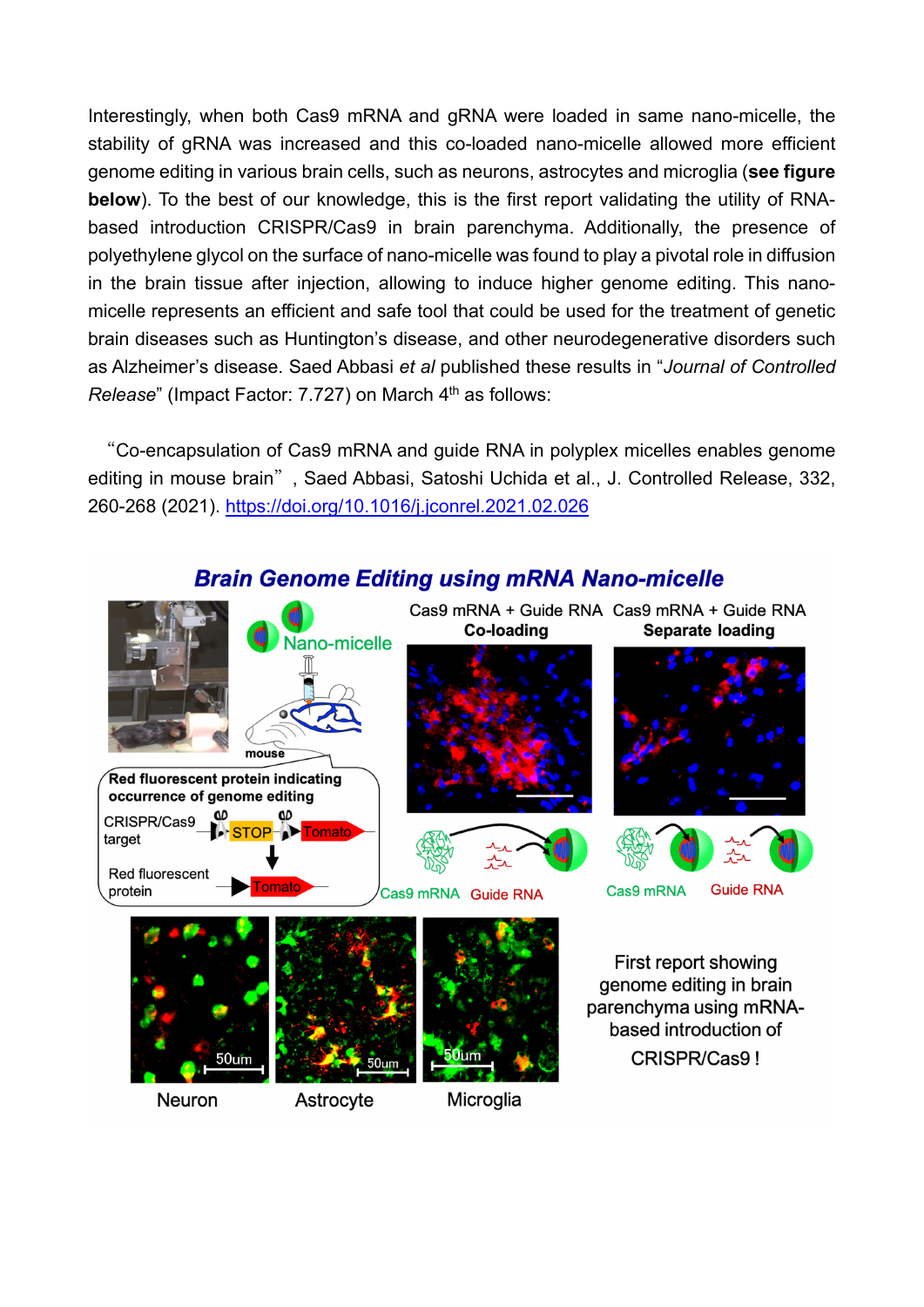Interestingly, when both Cas9 mRNA and gRNA were loaded in same nano-micelle, the stability of gRNA was increased and this co-loaded nano-micelle allowed more efficient genome editing in various brain cells, such as neurons, astrocytes and microglia (**see figure below**). To the best of our knowledge, this is the first report validating the utility of RNAbased introduction CRISPR/Cas9 in brain parenchyma. Additionally, the presence of polyethylene glycol on the surface of nano-micelle was found to play a pivotal role in diffusion in the brain tissue after injection, allowing to induce higher genome editing. This nanomicelle represents an efficient and safe tool that could be used for the treatment of genetic brain diseases such as Huntington's disease, and other neurodegenerative disorders such as Alzheimer's disease. Saed Abbasi *et al* published these results in "*Journal of Controlled Release*" (Impact Factor: 7.727) on March 4<sup>th</sup> as follows:

"Co-encapsulation of Cas9 mRNA and guide RNA in polyplex micelles enables genome editing in mouse brain", Saed Abbasi, Satoshi Uchida et al., J. Controlled Release, 332, 260-268 (2021). https://doi.org/10.1016/j.jconrel.2021.02.026



# **Brain Genome Editing using mRNA Nano-micelle**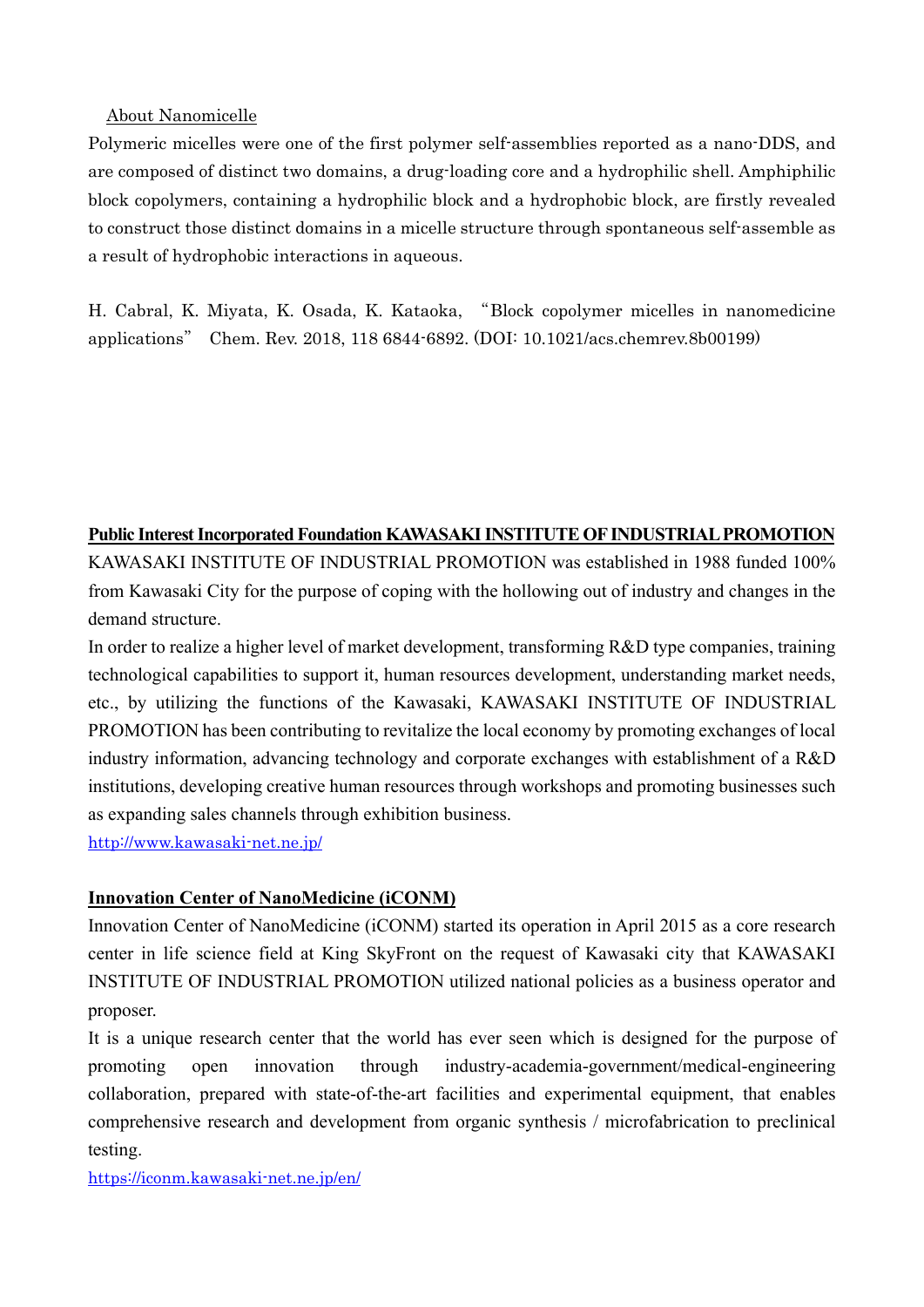#### About Nanomicelle

Polymeric micelles were one of the first polymer self-assemblies reported as a nano-DDS, and are composed of distinct two domains, a drug-loading core and a hydrophilic shell. Amphiphilic block copolymers, containing a hydrophilic block and a hydrophobic block, are firstly revealed to construct those distinct domains in a micelle structure through spontaneous self-assemble as a result of hydrophobic interactions in aqueous.

H. Cabral, K. Miyata, K. Osada, K. Kataoka, "Block copolymer micelles in nanomedicine applications" Chem. Rev. 2018, 118 6844-6892. (DOI: 10.1021/acs.chemrev.8b00199)

#### **Public Interest Incorporated Foundation KAWASAKI INSTITUTE OF INDUSTRIAL PROMOTION**

KAWASAKI INSTITUTE OF INDUSTRIAL PROMOTION was established in 1988 funded 100% from Kawasaki City for the purpose of coping with the hollowing out of industry and changes in the demand structure.

In order to realize a higher level of market development, transforming R&D type companies, training technological capabilities to support it, human resources development, understanding market needs, etc., by utilizing the functions of the Kawasaki, KAWASAKI INSTITUTE OF INDUSTRIAL PROMOTION has been contributing to revitalize the local economy by promoting exchanges of local industry information, advancing technology and corporate exchanges with establishment of a R&D institutions, developing creative human resources through workshops and promoting businesses such as expanding sales channels through exhibition business.

http://www.kawasaki-net.ne.jp/

## **Innovation Center of NanoMedicine (iCONM)**

Innovation Center of NanoMedicine (iCONM) started its operation in April 2015 as a core research center in life science field at King SkyFront on the request of Kawasaki city that KAWASAKI INSTITUTE OF INDUSTRIAL PROMOTION utilized national policies as a business operator and proposer.

It is a unique research center that the world has ever seen which is designed for the purpose of promoting open innovation through industry-academia-government/medical-engineering collaboration, prepared with state-of-the-art facilities and experimental equipment, that enables comprehensive research and development from organic synthesis / microfabrication to preclinical testing.

https://iconm.kawasaki-net.ne.jp/en/